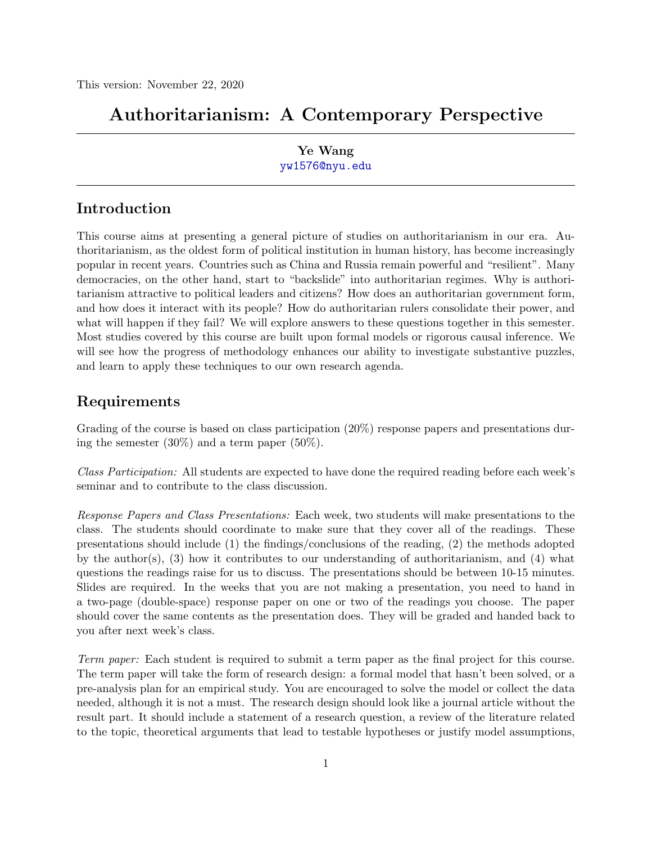# Authoritarianism: A Contemporary Perspective

# Ye Wang <yw1576@nyu.edu>

# Introduction

This course aims at presenting a general picture of studies on authoritarianism in our era. Authoritarianism, as the oldest form of political institution in human history, has become increasingly popular in recent years. Countries such as China and Russia remain powerful and "resilient". Many democracies, on the other hand, start to "backslide" into authoritarian regimes. Why is authoritarianism attractive to political leaders and citizens? How does an authoritarian government form, and how does it interact with its people? How do authoritarian rulers consolidate their power, and what will happen if they fail? We will explore answers to these questions together in this semester. Most studies covered by this course are built upon formal models or rigorous causal inference. We will see how the progress of methodology enhances our ability to investigate substantive puzzles, and learn to apply these techniques to our own research agenda.

# Requirements

Grading of the course is based on class participation  $(20\%)$  response papers and presentations during the semester (30%) and a term paper (50%).

Class Participation: All students are expected to have done the required reading before each week's seminar and to contribute to the class discussion.

Response Papers and Class Presentations: Each week, two students will make presentations to the class. The students should coordinate to make sure that they cover all of the readings. These presentations should include (1) the findings/conclusions of the reading, (2) the methods adopted by the author(s), (3) how it contributes to our understanding of authoritarianism, and (4) what questions the readings raise for us to discuss. The presentations should be between 10-15 minutes. Slides are required. In the weeks that you are not making a presentation, you need to hand in a two-page (double-space) response paper on one or two of the readings you choose. The paper should cover the same contents as the presentation does. They will be graded and handed back to you after next week's class.

Term paper: Each student is required to submit a term paper as the final project for this course. The term paper will take the form of research design: a formal model that hasn't been solved, or a pre-analysis plan for an empirical study. You are encouraged to solve the model or collect the data needed, although it is not a must. The research design should look like a journal article without the result part. It should include a statement of a research question, a review of the literature related to the topic, theoretical arguments that lead to testable hypotheses or justify model assumptions,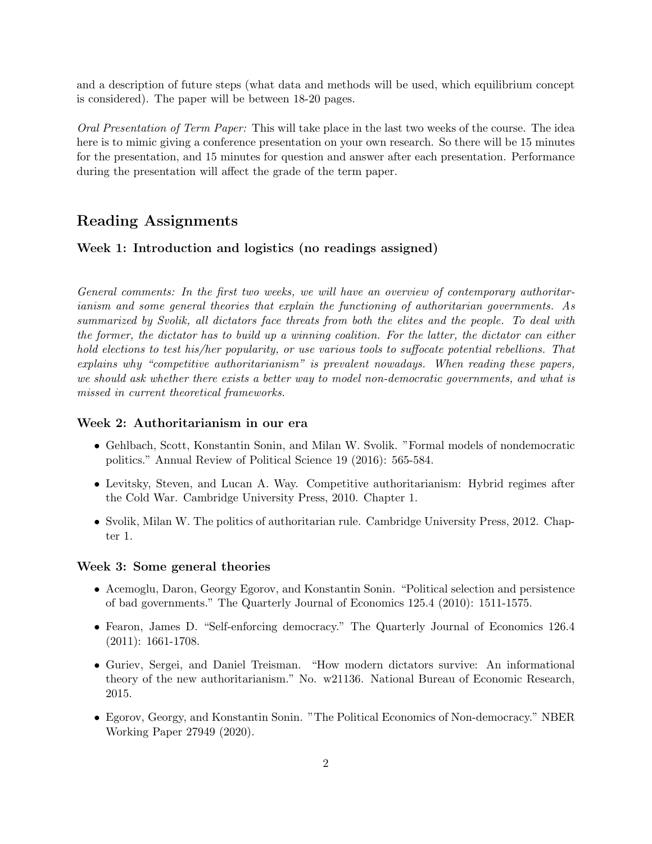and a description of future steps (what data and methods will be used, which equilibrium concept is considered). The paper will be between 18-20 pages.

Oral Presentation of Term Paper: This will take place in the last two weeks of the course. The idea here is to mimic giving a conference presentation on your own research. So there will be 15 minutes for the presentation, and 15 minutes for question and answer after each presentation. Performance during the presentation will affect the grade of the term paper.

# Reading Assignments

#### Week 1: Introduction and logistics (no readings assigned)

General comments: In the first two weeks, we will have an overview of contemporary authoritarianism and some general theories that explain the functioning of authoritarian governments. As summarized by Svolik, all dictators face threats from both the elites and the people. To deal with the former, the dictator has to build up a winning coalition. For the latter, the dictator can either hold elections to test his/her popularity, or use various tools to suffocate potential rebellions. That explains why "competitive authoritarianism" is prevalent nowadays. When reading these papers, we should ask whether there exists a better way to model non-democratic governments, and what is missed in current theoretical frameworks.

#### Week 2: Authoritarianism in our era

- Gehlbach, Scott, Konstantin Sonin, and Milan W. Svolik. "Formal models of nondemocratic politics." Annual Review of Political Science 19 (2016): 565-584.
- Levitsky, Steven, and Lucan A. Way. Competitive authoritarianism: Hybrid regimes after the Cold War. Cambridge University Press, 2010. Chapter 1.
- Svolik, Milan W. The politics of authoritarian rule. Cambridge University Press, 2012. Chapter 1.

#### Week 3: Some general theories

- Acemoglu, Daron, Georgy Egorov, and Konstantin Sonin. "Political selection and persistence of bad governments." The Quarterly Journal of Economics 125.4 (2010): 1511-1575.
- Fearon, James D. "Self-enforcing democracy." The Quarterly Journal of Economics 126.4 (2011): 1661-1708.
- Guriev, Sergei, and Daniel Treisman. "How modern dictators survive: An informational theory of the new authoritarianism." No. w21136. National Bureau of Economic Research, 2015.
- Egorov, Georgy, and Konstantin Sonin. "The Political Economics of Non-democracy." NBER Working Paper 27949 (2020).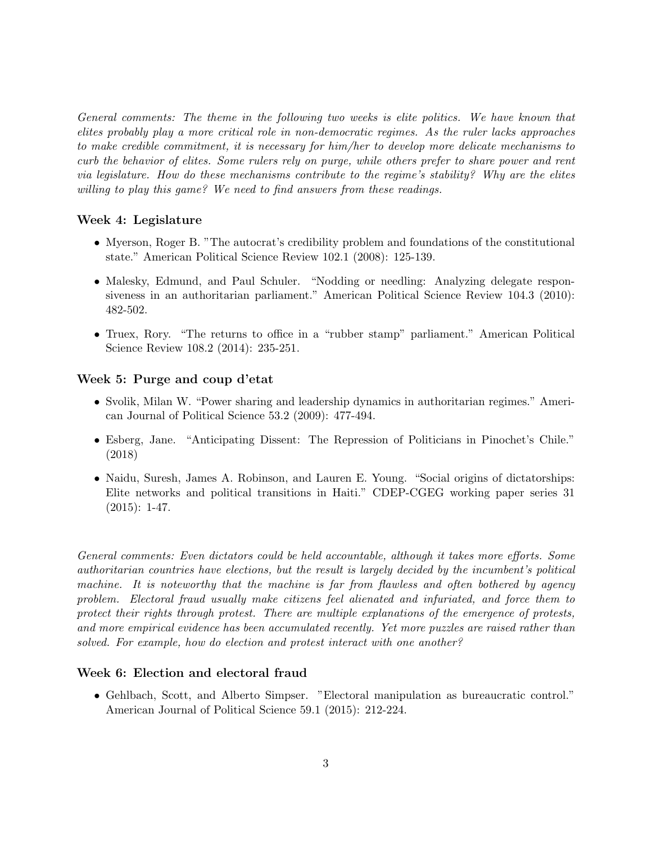General comments: The theme in the following two weeks is elite politics. We have known that elites probably play a more critical role in non-democratic regimes. As the ruler lacks approaches to make credible commitment, it is necessary for him/her to develop more delicate mechanisms to curb the behavior of elites. Some rulers rely on purge, while others prefer to share power and rent via legislature. How do these mechanisms contribute to the regime's stability? Why are the elites willing to play this game? We need to find answers from these readings.

#### Week 4: Legislature

- Myerson, Roger B. "The autocrat's credibility problem and foundations of the constitutional state." American Political Science Review 102.1 (2008): 125-139.
- Malesky, Edmund, and Paul Schuler. "Nodding or needling: Analyzing delegate responsiveness in an authoritarian parliament." American Political Science Review 104.3 (2010): 482-502.
- Truex, Rory. "The returns to office in a "rubber stamp" parliament." American Political Science Review 108.2 (2014): 235-251.

#### Week 5: Purge and coup d'etat

- Svolik, Milan W. "Power sharing and leadership dynamics in authoritarian regimes." American Journal of Political Science 53.2 (2009): 477-494.
- Esberg, Jane. "Anticipating Dissent: The Repression of Politicians in Pinochet's Chile." (2018)
- Naidu, Suresh, James A. Robinson, and Lauren E. Young. "Social origins of dictatorships: Elite networks and political transitions in Haiti." CDEP-CGEG working paper series 31  $(2015): 1-47.$

General comments: Even dictators could be held accountable, although it takes more efforts. Some authoritarian countries have elections, but the result is largely decided by the incumbent's political machine. It is noteworthy that the machine is far from flawless and often bothered by agency problem. Electoral fraud usually make citizens feel alienated and infuriated, and force them to protect their rights through protest. There are multiple explanations of the emergence of protests, and more empirical evidence has been accumulated recently. Yet more puzzles are raised rather than solved. For example, how do election and protest interact with one another?

#### Week 6: Election and electoral fraud

• Gehlbach, Scott, and Alberto Simpser. "Electoral manipulation as bureaucratic control." American Journal of Political Science 59.1 (2015): 212-224.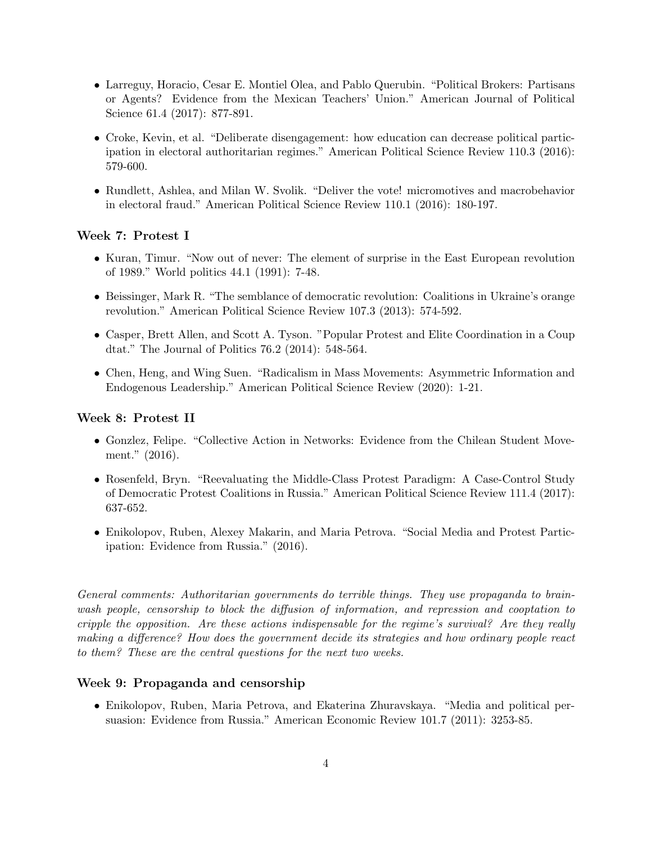- Larreguy, Horacio, Cesar E. Montiel Olea, and Pablo Querubin. "Political Brokers: Partisans or Agents? Evidence from the Mexican Teachers' Union." American Journal of Political Science 61.4 (2017): 877-891.
- Croke, Kevin, et al. "Deliberate disengagement: how education can decrease political participation in electoral authoritarian regimes." American Political Science Review 110.3 (2016): 579-600.
- Rundlett, Ashlea, and Milan W. Svolik. "Deliver the vote! micromotives and macrobehavior in electoral fraud." American Political Science Review 110.1 (2016): 180-197.

#### Week 7: Protest I

- Kuran, Timur. "Now out of never: The element of surprise in the East European revolution of 1989." World politics 44.1 (1991): 7-48.
- Beissinger, Mark R. "The semblance of democratic revolution: Coalitions in Ukraine's orange revolution." American Political Science Review 107.3 (2013): 574-592.
- Casper, Brett Allen, and Scott A. Tyson. "Popular Protest and Elite Coordination in a Coup dtat." The Journal of Politics 76.2 (2014): 548-564.
- Chen, Heng, and Wing Suen. "Radicalism in Mass Movements: Asymmetric Information and Endogenous Leadership." American Political Science Review (2020): 1-21.

#### Week 8: Protest II

- Gonzlez, Felipe. "Collective Action in Networks: Evidence from the Chilean Student Movement." (2016).
- Rosenfeld, Bryn. "Reevaluating the Middle-Class Protest Paradigm: A Case-Control Study of Democratic Protest Coalitions in Russia." American Political Science Review 111.4 (2017): 637-652.
- Enikolopov, Ruben, Alexey Makarin, and Maria Petrova. "Social Media and Protest Participation: Evidence from Russia." (2016).

General comments: Authoritarian governments do terrible things. They use propaganda to brainwash people, censorship to block the diffusion of information, and repression and cooptation to cripple the opposition. Are these actions indispensable for the regime's survival? Are they really making a difference? How does the government decide its strategies and how ordinary people react to them? These are the central questions for the next two weeks.

#### Week 9: Propaganda and censorship

• Enikolopov, Ruben, Maria Petrova, and Ekaterina Zhuravskaya. "Media and political persuasion: Evidence from Russia." American Economic Review 101.7 (2011): 3253-85.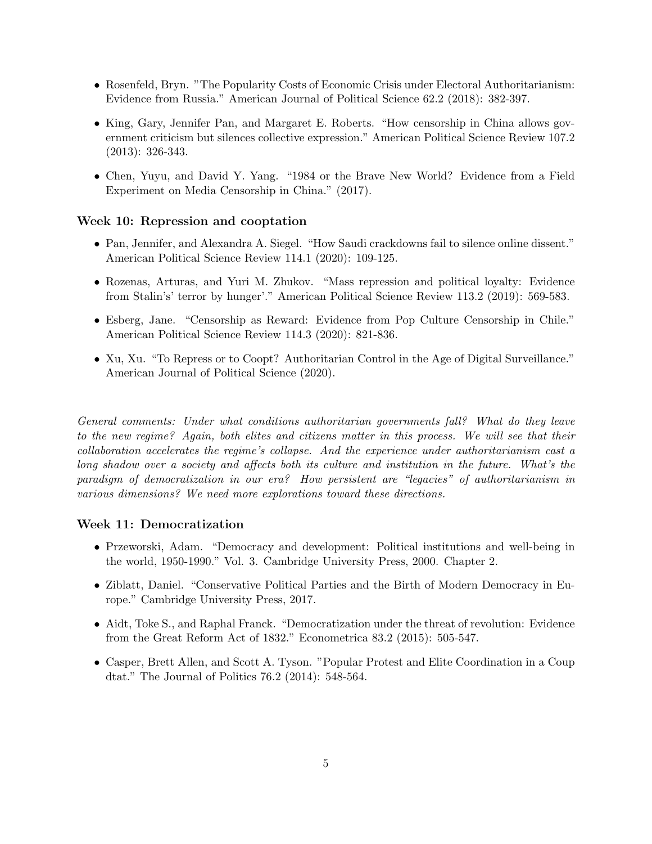- Rosenfeld, Bryn. "The Popularity Costs of Economic Crisis under Electoral Authoritarianism: Evidence from Russia." American Journal of Political Science 62.2 (2018): 382-397.
- King, Gary, Jennifer Pan, and Margaret E. Roberts. "How censorship in China allows government criticism but silences collective expression." American Political Science Review 107.2 (2013): 326-343.
- Chen, Yuyu, and David Y. Yang. "1984 or the Brave New World? Evidence from a Field Experiment on Media Censorship in China." (2017).

#### Week 10: Repression and cooptation

- Pan, Jennifer, and Alexandra A. Siegel. "How Saudi crackdowns fail to silence online dissent." American Political Science Review 114.1 (2020): 109-125.
- Rozenas, Arturas, and Yuri M. Zhukov. "Mass repression and political loyalty: Evidence from Stalin's' terror by hunger'." American Political Science Review 113.2 (2019): 569-583.
- Esberg, Jane. "Censorship as Reward: Evidence from Pop Culture Censorship in Chile." American Political Science Review 114.3 (2020): 821-836.
- Xu, Xu. "To Repress or to Coopt? Authoritarian Control in the Age of Digital Surveillance." American Journal of Political Science (2020).

General comments: Under what conditions authoritarian governments fall? What do they leave to the new regime? Again, both elites and citizens matter in this process. We will see that their collaboration accelerates the regime's collapse. And the experience under authoritarianism cast a long shadow over a society and affects both its culture and institution in the future. What's the paradigm of democratization in our era? How persistent are "legacies" of authoritarianism in various dimensions? We need more explorations toward these directions.

#### Week 11: Democratization

- Przeworski, Adam. "Democracy and development: Political institutions and well-being in the world, 1950-1990." Vol. 3. Cambridge University Press, 2000. Chapter 2.
- Ziblatt, Daniel. "Conservative Political Parties and the Birth of Modern Democracy in Europe." Cambridge University Press, 2017.
- Aidt, Toke S., and Raphal Franck. "Democratization under the threat of revolution: Evidence from the Great Reform Act of 1832." Econometrica 83.2 (2015): 505-547.
- Casper, Brett Allen, and Scott A. Tyson. "Popular Protest and Elite Coordination in a Coup dtat." The Journal of Politics 76.2 (2014): 548-564.